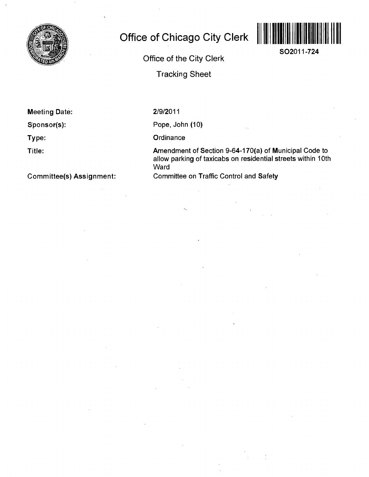

## **Office of Chicago City Clerk**



**SO2011-724** 

**Office of the City Clerk** 

**Tracking Sheet** 

**Meeting Date:** 

**Sponsor(s):** 

**Type:** 

**Title:** 

**Committee(s) Assignment:** 

2/9/2011

Pope, John (10)

**Ordinance** 

Amendment of Section 9-64-170(a) of Municipal Code to allow parking of taxicabs on residential streets within 10th **Ward** 

Committee on Traffic Control and Safety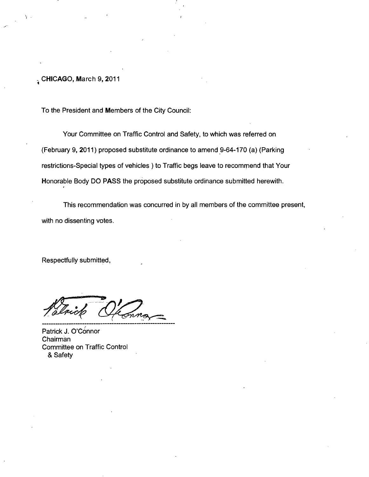**. CHICAGO, March 9, 2011** 

To the President and Members of the City Council:

Your Committee on Traffic Control and Safety, to which was referred on (February 9, 2011) proposed substitute ordinance to amend 9-64-170 (a) (Parking restrictions-Special types of vehicles ) to Traffic begs leave to recomrnend that Your Honorable Body DO PASS the proposed substitute ordinance submitted herewith.

This recommendation was concurred in by all members of the committee present, with no dissenting votes.

Respectfully submitted,

Patrick J. O'Connor Chairman Committee on Traffic Control & Safety